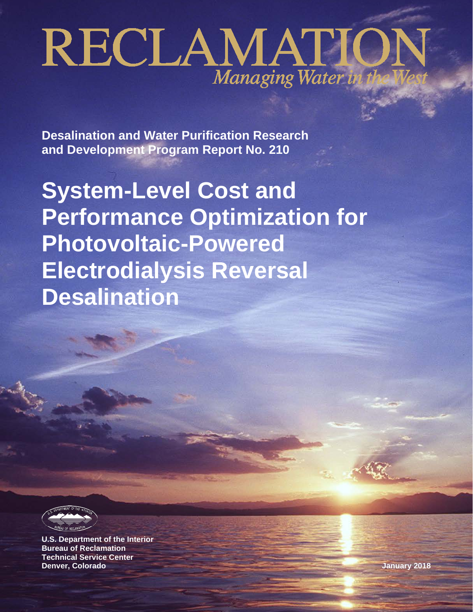# RECLAMATIO Managing Water in

**Desalination and Water Purification Research and Development Program Report No. 210**

**System-Level Cost and Performance Optimization for Photovoltaic-Powered Electrodialysis Reversal Desalination**



**U.S. Department of the Interior Bureau of Reclamation Technical Service Center Denver, Colorado January 2018**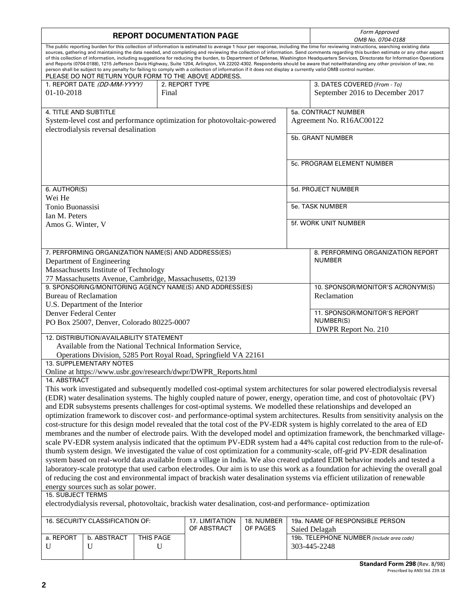| <b>REPORT DOCUMENTATION PAGE</b>                                                                                                                                                                                                                                                                                                                                                                                                                                                                                                                                                                                                                                                                                                                                                                                                                                                                                                                                     |                                                                                                                                                                                                                                                             |           |                                                                         |                        | Form Approved<br>OMB No. 0704-0188 |                                                                                                                               |  |
|----------------------------------------------------------------------------------------------------------------------------------------------------------------------------------------------------------------------------------------------------------------------------------------------------------------------------------------------------------------------------------------------------------------------------------------------------------------------------------------------------------------------------------------------------------------------------------------------------------------------------------------------------------------------------------------------------------------------------------------------------------------------------------------------------------------------------------------------------------------------------------------------------------------------------------------------------------------------|-------------------------------------------------------------------------------------------------------------------------------------------------------------------------------------------------------------------------------------------------------------|-----------|-------------------------------------------------------------------------|------------------------|------------------------------------|-------------------------------------------------------------------------------------------------------------------------------|--|
| The public reporting burden for this collection of information is estimated to average 1 hour per response, including the time for reviewing instructions, searching existing data<br>sources, gathering and maintaining the data needed, and completing and reviewing the collection of information. Send comments regarding this burden estimate or any other aspect<br>of this collection of information, including suggestions for reducing the burden, to Department of Defense, Washington Headquarters Services, Directorate for Information Operations<br>and Reports (0704-0188), 1215 Jefferson Davis Highway, Suite 1204, Arlington, VA 22202-4302. Respondents should be aware that notwithstanding any other provision of law, no<br>person shall be subject to any penalty for failing to comply with a collection of information if it does not display a currently valid OMB control number.<br>PLEASE DO NOT RETURN YOUR FORM TO THE ABOVE ADDRESS. |                                                                                                                                                                                                                                                             |           |                                                                         |                        |                                    |                                                                                                                               |  |
| 01-10-2018                                                                                                                                                                                                                                                                                                                                                                                                                                                                                                                                                                                                                                                                                                                                                                                                                                                                                                                                                           | 1. REPORT DATE (DD-MM-YYYY)                                                                                                                                                                                                                                 | Final     | 2. REPORT TYPE                                                          |                        |                                    | 3. DATES COVERED (From - To)<br>September 2016 to December 2017                                                               |  |
| 4. TITLE AND SUBTITLE                                                                                                                                                                                                                                                                                                                                                                                                                                                                                                                                                                                                                                                                                                                                                                                                                                                                                                                                                |                                                                                                                                                                                                                                                             |           |                                                                         |                        |                                    | 5a. CONTRACT NUMBER                                                                                                           |  |
|                                                                                                                                                                                                                                                                                                                                                                                                                                                                                                                                                                                                                                                                                                                                                                                                                                                                                                                                                                      |                                                                                                                                                                                                                                                             |           | System-level cost and performance optimization for photovoltaic-powered |                        |                                    | Agreement No. R16AC00122                                                                                                      |  |
|                                                                                                                                                                                                                                                                                                                                                                                                                                                                                                                                                                                                                                                                                                                                                                                                                                                                                                                                                                      | electrodialysis reversal desalination                                                                                                                                                                                                                       |           |                                                                         |                        | 5b. GRANT NUMBER                   |                                                                                                                               |  |
|                                                                                                                                                                                                                                                                                                                                                                                                                                                                                                                                                                                                                                                                                                                                                                                                                                                                                                                                                                      |                                                                                                                                                                                                                                                             |           |                                                                         |                        |                                    |                                                                                                                               |  |
|                                                                                                                                                                                                                                                                                                                                                                                                                                                                                                                                                                                                                                                                                                                                                                                                                                                                                                                                                                      |                                                                                                                                                                                                                                                             |           |                                                                         |                        |                                    | 5c. PROGRAM ELEMENT NUMBER                                                                                                    |  |
|                                                                                                                                                                                                                                                                                                                                                                                                                                                                                                                                                                                                                                                                                                                                                                                                                                                                                                                                                                      |                                                                                                                                                                                                                                                             |           |                                                                         |                        |                                    |                                                                                                                               |  |
| 6. AUTHOR(S)<br>Wei He                                                                                                                                                                                                                                                                                                                                                                                                                                                                                                                                                                                                                                                                                                                                                                                                                                                                                                                                               |                                                                                                                                                                                                                                                             |           |                                                                         |                        |                                    | 5d. PROJECT NUMBER                                                                                                            |  |
| Tonio Buonassisi                                                                                                                                                                                                                                                                                                                                                                                                                                                                                                                                                                                                                                                                                                                                                                                                                                                                                                                                                     |                                                                                                                                                                                                                                                             |           |                                                                         |                        |                                    | 5e. TASK NUMBER                                                                                                               |  |
| Ian M. Peters<br>Amos G. Winter, V                                                                                                                                                                                                                                                                                                                                                                                                                                                                                                                                                                                                                                                                                                                                                                                                                                                                                                                                   |                                                                                                                                                                                                                                                             |           |                                                                         |                        |                                    | 5f. WORK UNIT NUMBER                                                                                                          |  |
|                                                                                                                                                                                                                                                                                                                                                                                                                                                                                                                                                                                                                                                                                                                                                                                                                                                                                                                                                                      |                                                                                                                                                                                                                                                             |           |                                                                         |                        |                                    |                                                                                                                               |  |
|                                                                                                                                                                                                                                                                                                                                                                                                                                                                                                                                                                                                                                                                                                                                                                                                                                                                                                                                                                      | 7. PERFORMING ORGANIZATION NAME(S) AND ADDRESS(ES)                                                                                                                                                                                                          |           |                                                                         |                        |                                    | 8. PERFORMING ORGANIZATION REPORT                                                                                             |  |
|                                                                                                                                                                                                                                                                                                                                                                                                                                                                                                                                                                                                                                                                                                                                                                                                                                                                                                                                                                      | Department of Engineering                                                                                                                                                                                                                                   |           |                                                                         |                        |                                    | <b>NUMBER</b>                                                                                                                 |  |
|                                                                                                                                                                                                                                                                                                                                                                                                                                                                                                                                                                                                                                                                                                                                                                                                                                                                                                                                                                      | Massachusetts Institute of Technology                                                                                                                                                                                                                       |           |                                                                         |                        |                                    |                                                                                                                               |  |
|                                                                                                                                                                                                                                                                                                                                                                                                                                                                                                                                                                                                                                                                                                                                                                                                                                                                                                                                                                      |                                                                                                                                                                                                                                                             |           | 77 Massachusetts Avenue, Cambridge, Massachusetts, 02139                |                        |                                    |                                                                                                                               |  |
| 9. SPONSORING/MONITORING AGENCY NAME(S) AND ADDRESS(ES)                                                                                                                                                                                                                                                                                                                                                                                                                                                                                                                                                                                                                                                                                                                                                                                                                                                                                                              |                                                                                                                                                                                                                                                             |           |                                                                         |                        |                                    | 10. SPONSOR/MONITOR'S ACRONYM(S)                                                                                              |  |
| <b>Bureau of Reclamation</b>                                                                                                                                                                                                                                                                                                                                                                                                                                                                                                                                                                                                                                                                                                                                                                                                                                                                                                                                         |                                                                                                                                                                                                                                                             |           |                                                                         |                        |                                    | Reclamation                                                                                                                   |  |
| U.S. Department of the Interior<br>Denver Federal Center                                                                                                                                                                                                                                                                                                                                                                                                                                                                                                                                                                                                                                                                                                                                                                                                                                                                                                             |                                                                                                                                                                                                                                                             |           |                                                                         |                        | 11. SPONSOR/MONITOR'S REPORT       |                                                                                                                               |  |
| PO Box 25007, Denver, Colorado 80225-0007                                                                                                                                                                                                                                                                                                                                                                                                                                                                                                                                                                                                                                                                                                                                                                                                                                                                                                                            |                                                                                                                                                                                                                                                             |           |                                                                         |                        |                                    | NUMBER(S)<br>DWPR Report No. 210                                                                                              |  |
|                                                                                                                                                                                                                                                                                                                                                                                                                                                                                                                                                                                                                                                                                                                                                                                                                                                                                                                                                                      | 12. DISTRIBUTION/AVAILABILITY STATEMENT                                                                                                                                                                                                                     |           |                                                                         |                        |                                    |                                                                                                                               |  |
|                                                                                                                                                                                                                                                                                                                                                                                                                                                                                                                                                                                                                                                                                                                                                                                                                                                                                                                                                                      |                                                                                                                                                                                                                                                             |           | Available from the National Technical Information Service,              |                        |                                    |                                                                                                                               |  |
|                                                                                                                                                                                                                                                                                                                                                                                                                                                                                                                                                                                                                                                                                                                                                                                                                                                                                                                                                                      |                                                                                                                                                                                                                                                             |           | Operations Division, 5285 Port Royal Road, Springfield VA 22161         |                        |                                    |                                                                                                                               |  |
| 13. SUPPLEMENTARY NOTES<br>Online at https://www.usbr.gov/research/dwpr/DWPR_Reports.html                                                                                                                                                                                                                                                                                                                                                                                                                                                                                                                                                                                                                                                                                                                                                                                                                                                                            |                                                                                                                                                                                                                                                             |           |                                                                         |                        |                                    |                                                                                                                               |  |
| 14. ABSTRACT                                                                                                                                                                                                                                                                                                                                                                                                                                                                                                                                                                                                                                                                                                                                                                                                                                                                                                                                                         |                                                                                                                                                                                                                                                             |           |                                                                         |                        |                                    |                                                                                                                               |  |
|                                                                                                                                                                                                                                                                                                                                                                                                                                                                                                                                                                                                                                                                                                                                                                                                                                                                                                                                                                      |                                                                                                                                                                                                                                                             |           |                                                                         |                        |                                    | This work investigated and subsequently modelled cost-optimal system architectures for solar powered electrodialysis reversal |  |
|                                                                                                                                                                                                                                                                                                                                                                                                                                                                                                                                                                                                                                                                                                                                                                                                                                                                                                                                                                      |                                                                                                                                                                                                                                                             |           |                                                                         |                        |                                    | (EDR) water desalination systems. The highly coupled nature of power, energy, operation time, and cost of photovoltaic (PV)   |  |
| and EDR subsystems presents challenges for cost-optimal systems. We modelled these relationships and developed an                                                                                                                                                                                                                                                                                                                                                                                                                                                                                                                                                                                                                                                                                                                                                                                                                                                    |                                                                                                                                                                                                                                                             |           |                                                                         |                        |                                    |                                                                                                                               |  |
| optimization framework to discover cost- and performance-optimal system architectures. Results from sensitivity analysis on the                                                                                                                                                                                                                                                                                                                                                                                                                                                                                                                                                                                                                                                                                                                                                                                                                                      |                                                                                                                                                                                                                                                             |           |                                                                         |                        |                                    |                                                                                                                               |  |
|                                                                                                                                                                                                                                                                                                                                                                                                                                                                                                                                                                                                                                                                                                                                                                                                                                                                                                                                                                      | cost-structure for this design model revealed that the total cost of the PV-EDR system is highly correlated to the area of ED<br>membranes and the number of electrode pairs. With the developed model and optimization framework, the benchmarked village- |           |                                                                         |                        |                                    |                                                                                                                               |  |
| scale PV-EDR system analysis indicated that the optimum PV-EDR system had a 44% capital cost reduction from to the rule-of-                                                                                                                                                                                                                                                                                                                                                                                                                                                                                                                                                                                                                                                                                                                                                                                                                                          |                                                                                                                                                                                                                                                             |           |                                                                         |                        |                                    |                                                                                                                               |  |
| thumb system design. We investigated the value of cost optimization for a community-scale, off-grid PV-EDR desalination                                                                                                                                                                                                                                                                                                                                                                                                                                                                                                                                                                                                                                                                                                                                                                                                                                              |                                                                                                                                                                                                                                                             |           |                                                                         |                        |                                    |                                                                                                                               |  |
| system based on real-world data available from a village in India. We also created updated EDR behavior models and tested a                                                                                                                                                                                                                                                                                                                                                                                                                                                                                                                                                                                                                                                                                                                                                                                                                                          |                                                                                                                                                                                                                                                             |           |                                                                         |                        |                                    |                                                                                                                               |  |
| laboratory-scale prototype that used carbon electrodes. Our aim is to use this work as a foundation for achieving the overall goal                                                                                                                                                                                                                                                                                                                                                                                                                                                                                                                                                                                                                                                                                                                                                                                                                                   |                                                                                                                                                                                                                                                             |           |                                                                         |                        |                                    |                                                                                                                               |  |
| of reducing the cost and environmental impact of brackish water desalination systems via efficient utilization of renewable<br>energy sources such as solar power.                                                                                                                                                                                                                                                                                                                                                                                                                                                                                                                                                                                                                                                                                                                                                                                                   |                                                                                                                                                                                                                                                             |           |                                                                         |                        |                                    |                                                                                                                               |  |
| 15. SUBJECT TERMS                                                                                                                                                                                                                                                                                                                                                                                                                                                                                                                                                                                                                                                                                                                                                                                                                                                                                                                                                    |                                                                                                                                                                                                                                                             |           |                                                                         |                        |                                    |                                                                                                                               |  |
| electrodydialysis reversal, photovoltaic, brackish water desalination, cost-and performance- optimization                                                                                                                                                                                                                                                                                                                                                                                                                                                                                                                                                                                                                                                                                                                                                                                                                                                            |                                                                                                                                                                                                                                                             |           |                                                                         |                        |                                    |                                                                                                                               |  |
|                                                                                                                                                                                                                                                                                                                                                                                                                                                                                                                                                                                                                                                                                                                                                                                                                                                                                                                                                                      | 16. SECURITY CLASSIFICATION OF:                                                                                                                                                                                                                             |           | 17. LIMITATION<br>OF ABSTRACT                                           | 18. NUMBER<br>OF PAGES |                                    | 19a. NAME OF RESPONSIBLE PERSON                                                                                               |  |
| a. REPORT                                                                                                                                                                                                                                                                                                                                                                                                                                                                                                                                                                                                                                                                                                                                                                                                                                                                                                                                                            | b. ABSTRACT                                                                                                                                                                                                                                                 | THIS PAGE |                                                                         |                        |                                    | Saied Delagah<br>19b. TELEPHONE NUMBER (Include area code)                                                                    |  |
| U                                                                                                                                                                                                                                                                                                                                                                                                                                                                                                                                                                                                                                                                                                                                                                                                                                                                                                                                                                    | U                                                                                                                                                                                                                                                           | U         |                                                                         |                        |                                    | 303-445-2248                                                                                                                  |  |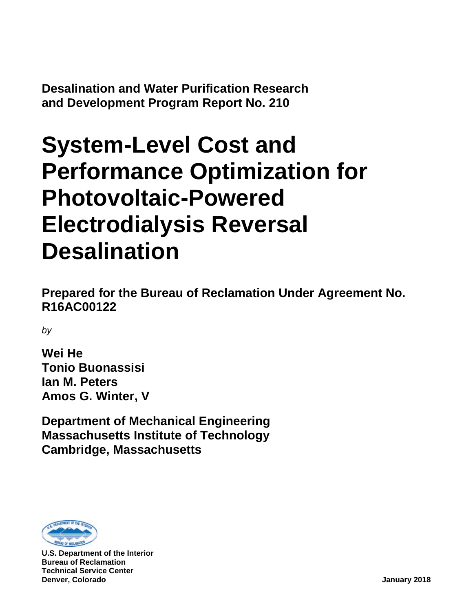**Desalination and Water Purification Research and Development Program Report No. 210**

# **System-Level Cost and Performance Optimization for Photovoltaic-Powered Electrodialysis Reversal Desalination**

**Prepared for the Bureau of Reclamation Under Agreement No. R16AC00122**

*by*

**Wei He Tonio Buonassisi Ian M. Peters Amos G. Winter, V**

**Department of Mechanical Engineering Massachusetts Institute of Technology Cambridge, Massachusetts**



**U.S. Department of the Interior Bureau of Reclamation Technical Service Center Denver, Colorado January 2018**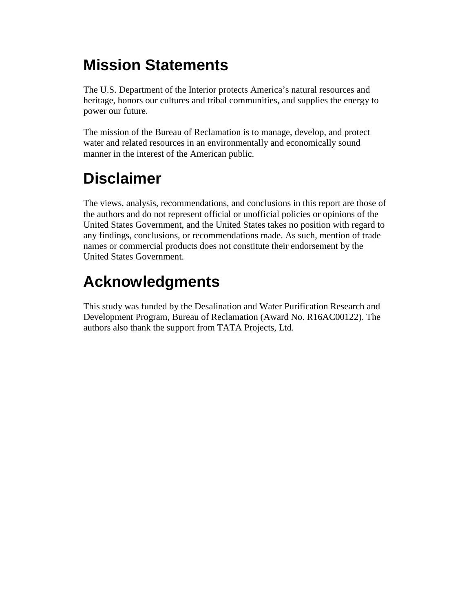# **Mission Statements**

The U.S. Department of the Interior protects America's natural resources and heritage, honors our cultures and tribal communities, and supplies the energy to power our future.

The mission of the Bureau of Reclamation is to manage, develop, and protect water and related resources in an environmentally and economically sound manner in the interest of the American public.

# **Disclaimer**

The views, analysis, recommendations, and conclusions in this report are those of the authors and do not represent official or unofficial policies or opinions of the United States Government, and the United States takes no position with regard to any findings, conclusions, or recommendations made. As such, mention of trade names or commercial products does not constitute their endorsement by the United States Government.

# **Acknowledgments**

This study was funded by the Desalination and Water Purification Research and Development Program, Bureau of Reclamation (Award No. R16AC00122). The authors also thank the support from TATA Projects, Ltd.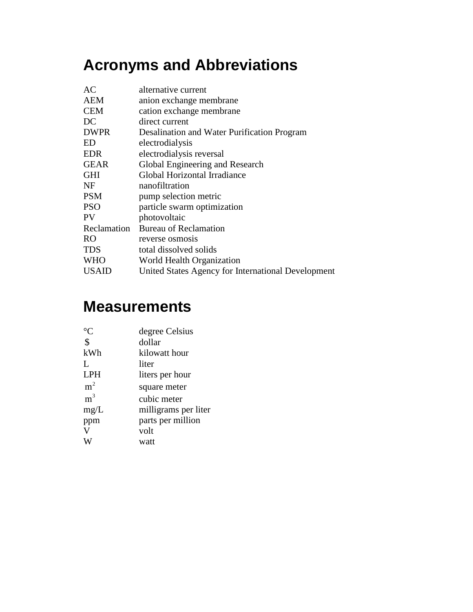# **Acronyms and Abbreviations**

| AC           | alternative current                                |
|--------------|----------------------------------------------------|
| <b>AEM</b>   | anion exchange membrane                            |
| <b>CEM</b>   | cation exchange membrane                           |
| DC           | direct current                                     |
| <b>DWPR</b>  | Desalination and Water Purification Program        |
| ED           | electrodialysis                                    |
| <b>EDR</b>   | electrodialysis reversal                           |
| <b>GEAR</b>  | Global Engineering and Research                    |
| <b>GHI</b>   | Global Horizontal Irradiance                       |
| NF           | nanofiltration                                     |
| <b>PSM</b>   | pump selection metric                              |
| <b>PSO</b>   | particle swarm optimization                        |
| <b>PV</b>    | photovoltaic                                       |
| Reclamation  | <b>Bureau of Reclamation</b>                       |
| <b>RO</b>    | reverse osmosis                                    |
| <b>TDS</b>   | total dissolved solids                             |
| <b>WHO</b>   | World Health Organization                          |
| <b>USAID</b> | United States Agency for International Development |

# **Measurements**

|                | degree Celsius       |
|----------------|----------------------|
| \$             | dollar               |
| kWh            | kilowatt hour        |
| L              | liter                |
| <b>LPH</b>     | liters per hour      |
| m <sup>2</sup> | square meter         |
| m <sup>3</sup> | cubic meter          |
| mg/L           | milligrams per liter |
| ppm            | parts per million    |
|                | volt                 |
|                | watt                 |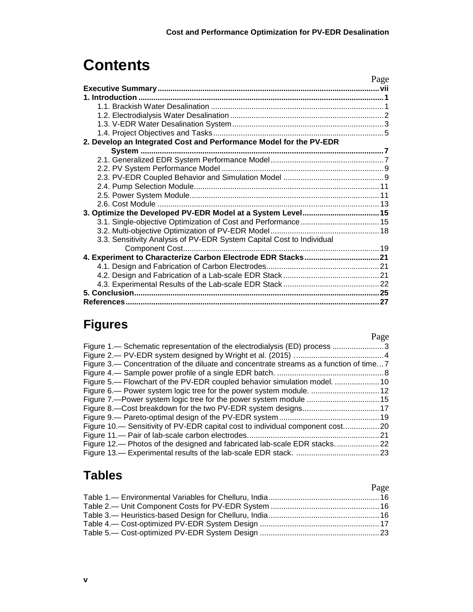# **Contents**

|                                                                       | Page |
|-----------------------------------------------------------------------|------|
|                                                                       |      |
|                                                                       |      |
|                                                                       |      |
|                                                                       |      |
|                                                                       |      |
|                                                                       |      |
| 2. Develop an Integrated Cost and Performance Model for the PV-EDR    |      |
|                                                                       |      |
|                                                                       |      |
|                                                                       |      |
|                                                                       |      |
|                                                                       |      |
|                                                                       |      |
|                                                                       |      |
| 3. Optimize the Developed PV-EDR Model at a System Level 15           |      |
|                                                                       |      |
|                                                                       |      |
| 3.3. Sensitivity Analysis of PV-EDR System Capital Cost to Individual |      |
|                                                                       |      |
| 4. Experiment to Characterize Carbon Electrode EDR Stacks 21          |      |
|                                                                       |      |
|                                                                       |      |
|                                                                       |      |
|                                                                       |      |
|                                                                       |      |

# **Figures**

|                                                                                       | Page |
|---------------------------------------------------------------------------------------|------|
| Figure 1.— Schematic representation of the electrodialysis (ED) process 3             |      |
|                                                                                       |      |
| Figure 3. Concentration of the diluate and concentrate streams as a function of time7 |      |
|                                                                                       |      |
| Figure 5.— Flowchart of the PV-EDR coupled behavior simulation model.  10             |      |
|                                                                                       |      |
|                                                                                       |      |
|                                                                                       |      |
|                                                                                       |      |
| Figure 10.— Sensitivity of PV-EDR capital cost to individual component cost20         |      |
|                                                                                       |      |
| Figure 12.— Photos of the designed and fabricated lab-scale EDR stacks22              |      |
|                                                                                       |      |
|                                                                                       |      |

# **Tables**

| Page |
|------|
|      |
|      |
|      |
|      |
|      |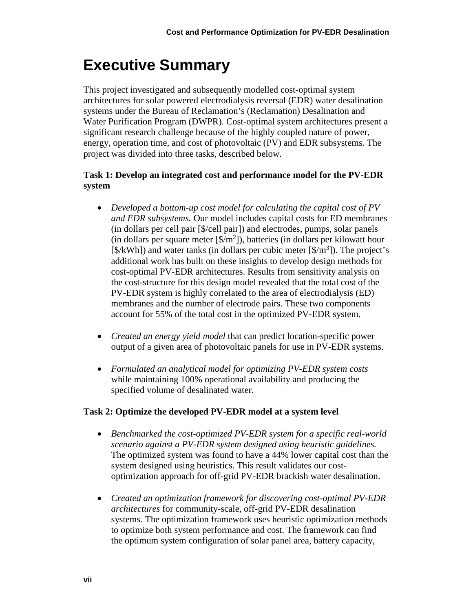# <span id="page-10-0"></span>**Executive Summary**

This project investigated and subsequently modelled cost-optimal system architectures for solar powered electrodialysis reversal (EDR) water desalination systems under the Bureau of Reclamation's (Reclamation) Desalination and Water Purification Program (DWPR). Cost-optimal system architectures present a significant research challenge because of the highly coupled nature of power, energy, operation time, and cost of photovoltaic (PV) and EDR subsystems. The project was divided into three tasks, described below.

#### **Task 1: Develop an integrated cost and performance model for the PV-EDR system**

- *Developed a bottom-up cost model for calculating the capital cost of PV and EDR subsystems.* Our model includes capital costs for ED membranes (in dollars per cell pair [\$/cell pair]) and electrodes, pumps, solar panels (in dollars per square meter  $[\frac{1}{2}m^2]$ ), batteries (in dollars per kilowatt hour  $[\frac{\sqrt{2}}{\sqrt{2}}]$  and water tanks (in dollars per cubic meter  $[\frac{\sqrt{2}}{\sqrt{2}}]$ ). The project's additional work has built on these insights to develop design methods for cost-optimal PV-EDR architectures. Results from sensitivity analysis on the cost-structure for this design model revealed that the total cost of the PV-EDR system is highly correlated to the area of electrodialysis (ED) membranes and the number of electrode pairs. These two components account for 55% of the total cost in the optimized PV-EDR system.
- *Created an energy yield model* that can predict location-specific power output of a given area of photovoltaic panels for use in PV-EDR systems.
- *Formulated an analytical model for optimizing PV-EDR system costs* while maintaining 100% operational availability and producing the specified volume of desalinated water.

#### **Task 2: Optimize the developed PV-EDR model at a system level**

- *Benchmarked the cost-optimized PV-EDR system for a specific real-world scenario against a PV-EDR system designed using heuristic guidelines.* The optimized system was found to have a 44% lower capital cost than the system designed using heuristics. This result validates our costoptimization approach for off-grid PV-EDR brackish water desalination.
- *Created an optimization framework for discovering cost-optimal PV-EDR architectures* for community-scale, off-grid PV-EDR desalination systems. The optimization framework uses heuristic optimization methods to optimize both system performance and cost. The framework can find the optimum system configuration of solar panel area, battery capacity,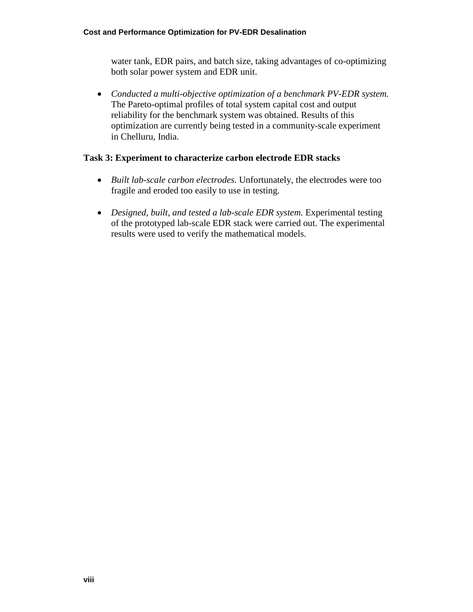water tank, EDR pairs, and batch size, taking advantages of co-optimizing both solar power system and EDR unit.

• *Conducted a multi-objective optimization of a benchmark PV-EDR system.* The Pareto-optimal profiles of total system capital cost and output reliability for the benchmark system was obtained. Results of this optimization are currently being tested in a community-scale experiment in Chelluru, India.

#### **Task 3: Experiment to characterize carbon electrode EDR stacks**

- *Built lab-scale carbon electrodes.* Unfortunately, the electrodes were too fragile and eroded too easily to use in testing.
- *Designed, built, and tested a lab-scale EDR system.* Experimental testing of the prototyped lab-scale EDR stack were carried out. The experimental results were used to verify the mathematical models.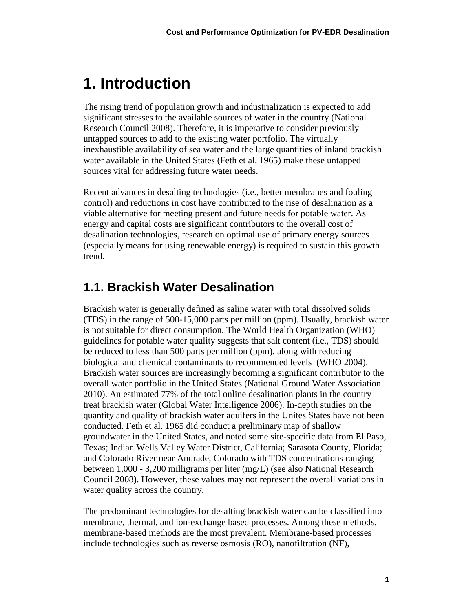# <span id="page-12-0"></span>**1. Introduction**

The rising trend of population growth and industrialization is expected to add significant stresses to the available sources of water in the country (National Research Council 2008). Therefore, it is imperative to consider previously untapped sources to add to the existing water portfolio. The virtually inexhaustible availability of sea water and the large quantities of inland brackish water available in the United States (Feth et al. 1965) make these untapped sources vital for addressing future water needs.

Recent advances in desalting technologies (i.e., better membranes and fouling control) and reductions in cost have contributed to the rise of desalination as a viable alternative for meeting present and future needs for potable water. As energy and capital costs are significant contributors to the overall cost of desalination technologies, research on optimal use of primary energy sources (especially means for using renewable energy) is required to sustain this growth trend.

### <span id="page-12-1"></span>**1.1. Brackish Water Desalination**

Brackish water is generally defined as saline water with total dissolved solids (TDS) in the range of 500-15,000 parts per million (ppm). Usually, brackish water is not suitable for direct consumption. The World Health Organization (WHO) guidelines for potable water quality suggests that salt content (i.e., TDS) should be reduced to less than 500 parts per million (ppm), along with reducing biological and chemical contaminants to recommended levels (WHO 2004). Brackish water sources are increasingly becoming a significant contributor to the overall water portfolio in the United States (National Ground Water Association 2010). An estimated 77% of the total online desalination plants in the country treat brackish water (Global Water Intelligence 2006). In-depth studies on the quantity and quality of brackish water aquifers in the Unites States have not been conducted. Feth et al. 1965 did conduct a preliminary map of shallow groundwater in the United States, and noted some site-specific data from El Paso, Texas; Indian Wells Valley Water District, California; Sarasota County, Florida; and Colorado River near Andrade, Colorado with TDS concentrations ranging between 1,000 - 3,200 milligrams per liter (mg/L) (see also National Research Council 2008). However, these values may not represent the overall variations in water quality across the country.

The predominant technologies for desalting brackish water can be classified into membrane, thermal, and ion-exchange based processes. Among these methods, membrane-based methods are the most prevalent. Membrane-based processes include technologies such as reverse osmosis (RO), nanofiltration (NF),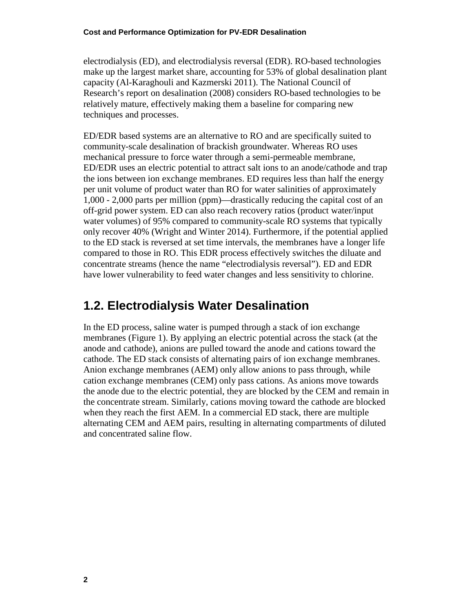electrodialysis (ED), and electrodialysis reversal (EDR). RO-based technologies make up the largest market share, accounting for 53% of global desalination plant capacity (Al-Karaghouli and Kazmerski 2011). The National Council of Research's report on desalination (2008) considers RO-based technologies to be relatively mature, effectively making them a baseline for comparing new techniques and processes.

ED/EDR based systems are an alternative to RO and are specifically suited to community-scale desalination of brackish groundwater. Whereas RO uses mechanical pressure to force water through a semi-permeable membrane, ED/EDR uses an electric potential to attract salt ions to an anode/cathode and trap the ions between ion exchange membranes. ED requires less than half the energy per unit volume of product water than RO for water salinities of approximately 1,000 - 2,000 parts per million (ppm)—drastically reducing the capital cost of an off-grid power system. ED can also reach recovery ratios (product water/input water volumes) of 95% compared to community-scale RO systems that typically only recover 40% (Wright and Winter 2014). Furthermore, if the potential applied to the ED stack is reversed at set time intervals, the membranes have a longer life compared to those in RO. This EDR process effectively switches the diluate and concentrate streams (hence the name "electrodialysis reversal"). ED and EDR have lower vulnerability to feed water changes and less sensitivity to chlorine.

### <span id="page-13-0"></span>**1.2. Electrodialysis Water Desalination**

In the ED process, saline water is pumped through a stack of ion exchange membranes [\(Figure 1\)](#page-14-1). By applying an electric potential across the stack (at the anode and cathode), anions are pulled toward the anode and cations toward the cathode. The ED stack consists of alternating pairs of ion exchange membranes. Anion exchange membranes (AEM) only allow anions to pass through, while cation exchange membranes (CEM) only pass cations. As anions move towards the anode due to the electric potential, they are blocked by the CEM and remain in the concentrate stream. Similarly, cations moving toward the cathode are blocked when they reach the first AEM. In a commercial ED stack, there are multiple alternating CEM and AEM pairs, resulting in alternating compartments of diluted and concentrated saline flow.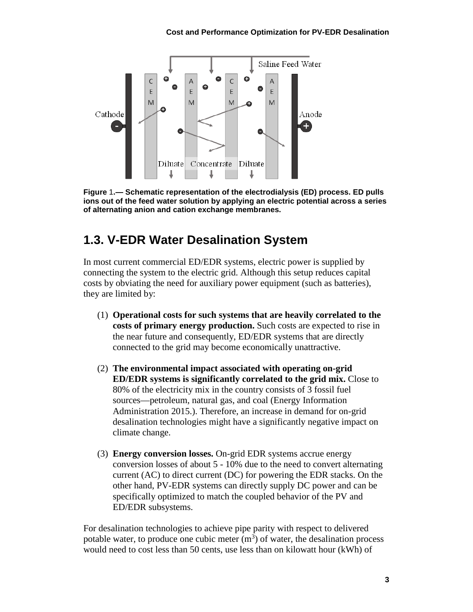

<span id="page-14-1"></span>**Figure** 1**.— Schematic representation of the electrodialysis (ED) process. ED pulls ions out of the feed water solution by applying an electric potential across a series of alternating anion and cation exchange membranes.**

### <span id="page-14-0"></span>**1.3. V-EDR Water Desalination System**

In most current commercial ED/EDR systems, electric power is supplied by connecting the system to the electric grid. Although this setup reduces capital costs by obviating the need for auxiliary power equipment (such as batteries), they are limited by:

- (1) **Operational costs for such systems that are heavily correlated to the costs of primary energy production.** Such costs are expected to rise in the near future and consequently, ED/EDR systems that are directly connected to the grid may become economically unattractive.
- (2) **The environmental impact associated with operating on-grid ED/EDR systems is significantly correlated to the grid mix.** Close to 80% of the electricity mix in the country consists of 3 fossil fuel sources—petroleum, natural gas, and coal (Energy Information Administration 2015.). Therefore, an increase in demand for on-grid desalination technologies might have a significantly negative impact on climate change.
- (3) **Energy conversion losses.** On-grid EDR systems accrue energy conversion losses of about 5 - 10% due to the need to convert alternating current (AC) to direct current (DC) for powering the EDR stacks. On the other hand, PV-EDR systems can directly supply DC power and can be specifically optimized to match the coupled behavior of the PV and ED/EDR subsystems.

For desalination technologies to achieve pipe parity with respect to delivered potable water, to produce one cubic meter  $(m<sup>3</sup>)$  of water, the desalination process would need to cost less than 50 cents, use less than on kilowatt hour (kWh) of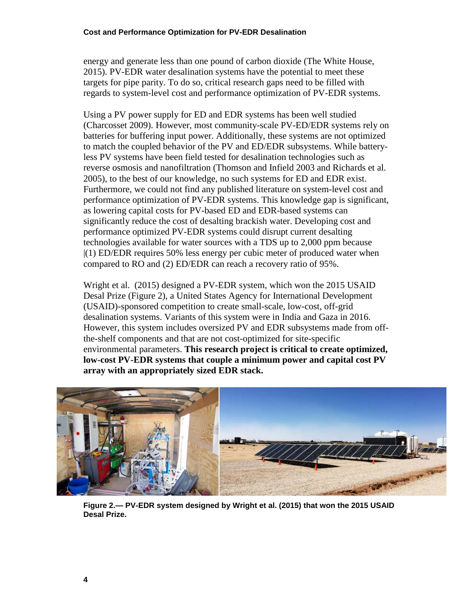energy and generate less than one pound of carbon dioxide (The White House, 2015). PV-EDR water desalination systems have the potential to meet these targets for pipe parity. To do so, critical research gaps need to be filled with regards to system-level cost and performance optimization of PV-EDR systems.

Using a PV power supply for ED and EDR systems has been well studied (Charcosset 2009). However, most community-scale PV-ED/EDR systems rely on batteries for buffering input power. Additionally, these systems are not optimized to match the coupled behavior of the PV and ED/EDR subsystems. While batteryless PV systems have been field tested for desalination technologies such as reverse osmosis and nanofiltration (Thomson and Infield 2003 and Richards et al. 2005), to the best of our knowledge, no such systems for ED and EDR exist. Furthermore, we could not find any published literature on system-level cost and performance optimization of PV-EDR systems. This knowledge gap is significant, as lowering capital costs for PV-based ED and EDR-based systems can significantly reduce the cost of desalting brackish water. Developing cost and performance optimized PV-EDR systems could disrupt current desalting technologies available for water sources with a TDS up to 2,000 ppm because |(1) ED/EDR requires 50% less energy per cubic meter of produced water when compared to RO and (2) ED/EDR can reach a recovery ratio of 95%.

Wright et al. (2015) designed a PV-EDR system, which won the 2015 USAID Desal Prize [\(Figure 2\)](#page-15-0), a United States Agency for International Development (USAID)-sponsored competition to create small-scale, low-cost, off-grid desalination systems. Variants of this system were in India and Gaza in 2016. However, this system includes oversized PV and EDR subsystems made from offthe-shelf components and that are not cost-optimized for site-specific environmental parameters. **This research project is critical to create optimized, low-cost PV-EDR systems that couple a minimum power and capital cost PV array with an appropriately sized EDR stack.**

<span id="page-15-0"></span>

**Figure 2.— PV-EDR system designed by Wright et al. (2015) that won the 2015 USAID Desal Prize.**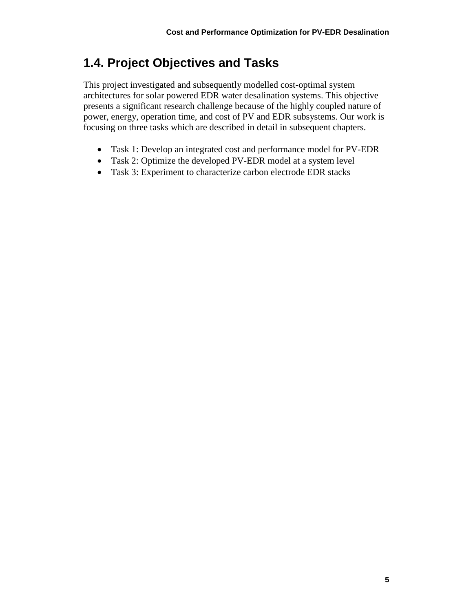## <span id="page-16-0"></span>**1.4. Project Objectives and Tasks**

This project investigated and subsequently modelled cost-optimal system architectures for solar powered EDR water desalination systems. This objective presents a significant research challenge because of the highly coupled nature of power, energy, operation time, and cost of PV and EDR subsystems. Our work is focusing on three tasks which are described in detail in subsequent chapters.

- Task 1: Develop an integrated cost and performance model for PV-EDR
- Task 2: Optimize the developed PV-EDR model at a system level
- Task 3: Experiment to characterize carbon electrode EDR stacks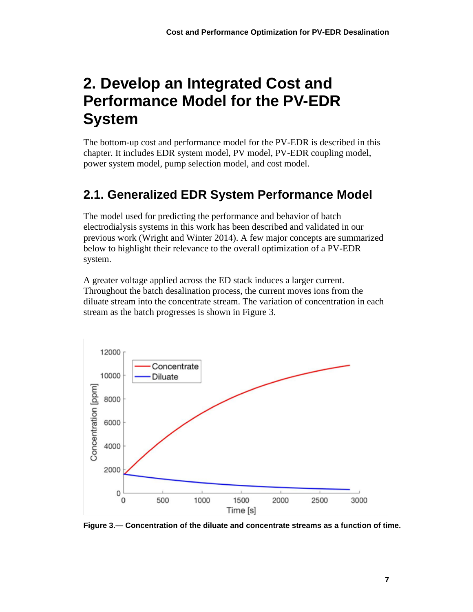# <span id="page-18-0"></span>**2. Develop an Integrated Cost and Performance Model for the PV-EDR System**

The bottom-up cost and performance model for the PV-EDR is described in this chapter. It includes EDR system model, PV model, PV-EDR coupling model, power system model, pump selection model, and cost model.

# <span id="page-18-1"></span>**2.1. Generalized EDR System Performance Model**

The model used for predicting the performance and behavior of batch electrodialysis systems in this work has been described and validated in our previous work (Wright and Winter 2014). A few major concepts are summarized below to highlight their relevance to the overall optimization of a PV-EDR system.

A greater voltage applied across the ED stack induces a larger current. Throughout the batch desalination process, the current moves ions from the diluate stream into the concentrate stream. The variation of concentration in each stream as the batch progresses is shown in [Figure 3.](#page-18-2)



<span id="page-18-2"></span>**Figure 3.— Concentration of the diluate and concentrate streams as a function of time.**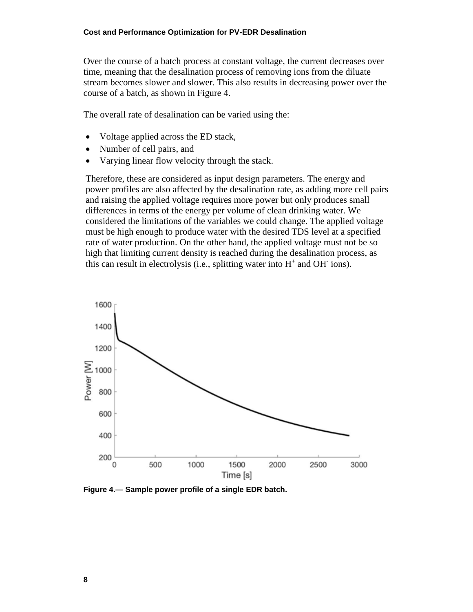Over the course of a batch process at constant voltage, the current decreases over time, meaning that the desalination process of removing ions from the diluate stream becomes slower and slower. This also results in decreasing power over the course of a batch, as shown in [Figure 4.](#page-19-0)

The overall rate of desalination can be varied using the:

- Voltage applied across the ED stack,
- Number of cell pairs, and
- Varying linear flow velocity through the stack.

Therefore, these are considered as input design parameters. The energy and power profiles are also affected by the desalination rate, as adding more cell pairs and raising the applied voltage requires more power but only produces small differences in terms of the energy per volume of clean drinking water. We considered the limitations of the variables we could change. The applied voltage must be high enough to produce water with the desired TDS level at a specified rate of water production. On the other hand, the applied voltage must not be so high that limiting current density is reached during the desalination process, as this can result in electrolysis (i.e., splitting water into  $H^+$  and OH $^-$  ions).



<span id="page-19-0"></span>**Figure 4.— Sample power profile of a single EDR batch.**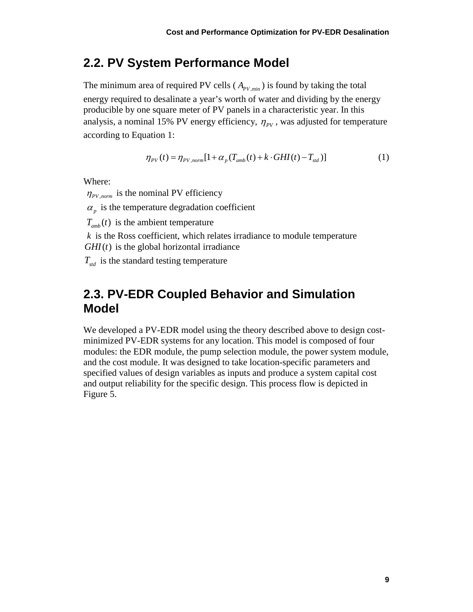### <span id="page-20-0"></span>**2.2. PV System Performance Model**

The minimum area of required PV cells ( $A_{pV,min}$ ) is found by taking the total energy required to desalinate a year's worth of water and dividing by the energy producible by one square meter of PV panels in a characteristic year. In this analysis, a nominal 15% PV energy efficiency,  $\eta_{\nu}$ , was adjusted for temperature according to Equation 1:

$$
\eta_{\scriptscriptstyle PV}(t) = \eta_{\scriptscriptstyle PV, norm} [1 + \alpha_{\scriptscriptstyle p}(T_{\scriptscriptstyle amb}(t) + k \cdot GHI(t) - T_{\scriptscriptstyle std})] \tag{1}
$$

Where:

 $\eta_{\text{PV norm}}$  is the nominal PV efficiency

 $\alpha$ <sub>n</sub> is the temperature degradation coefficient

 $T_{amb}(t)$  is the ambient temperature

 $k$  is the Ross coefficient, which relates irradiance to module temperature  $GHI(t)$  is the global horizontal irradiance

<span id="page-20-1"></span> $T_{std}$  is the standard testing temperature

### **2.3. PV-EDR Coupled Behavior and Simulation Model**

We developed a PV-EDR model using the theory described above to design costminimized PV-EDR systems for any location. This model is composed of four modules: the EDR module, the pump selection module, the power system module, and the cost module. It was designed to take location-specific parameters and specified values of design variables as inputs and produce a system capital cost and output reliability for the specific design. This process flow is depicted in [Figure 5.](#page-21-0)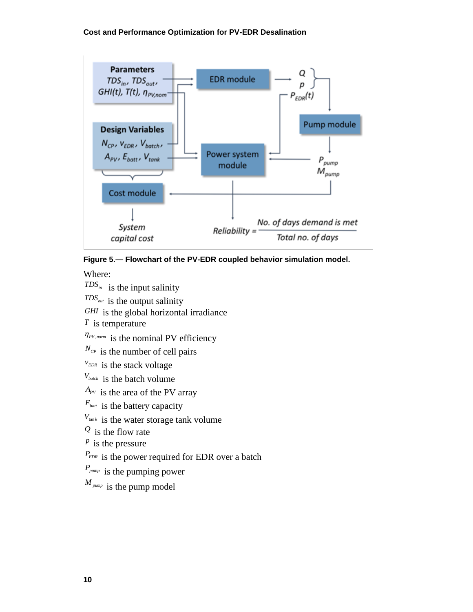

#### <span id="page-21-0"></span>**Figure 5.— Flowchart of the PV-EDR coupled behavior simulation model.**

Where:

 $TDS_{in}$  is the input salinity

*TDSout* is the output salinity

*GHI* is the global horizontal irradiance

*T* is temperature

 $\eta_{PV, norm}$  is the nominal PV efficiency

 $N_{C_P}$  is the number of cell pairs

*EDR <sup>v</sup>* is the stack voltage

*Vbatch* is the batch volume

 $A_{PV}$  is the area of the PV array

*Ebatt* is the battery capacity

 $V_{\text{tan }k}$  is the water storage tank volume

*<sup>Q</sup>* is the flow rate

*<sup>p</sup>* is the pressure

*P<sub>EDR*</sub> is the power required for EDR over a batch

*Ppump* is the pumping power

*<sup>M</sup> pump* is the pump model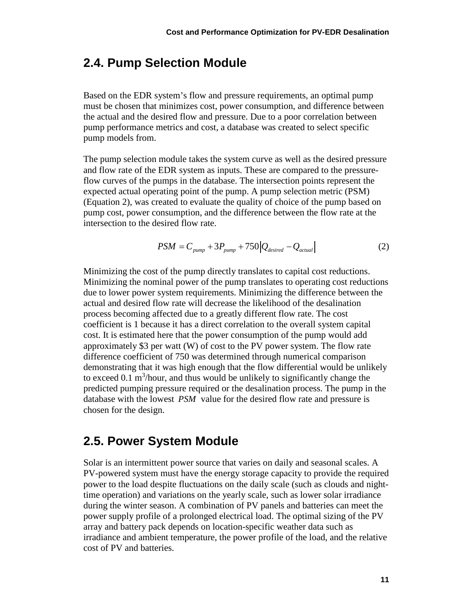### <span id="page-22-0"></span>**2.4. Pump Selection Module**

Based on the EDR system's flow and pressure requirements, an optimal pump must be chosen that minimizes cost, power consumption, and difference between the actual and the desired flow and pressure. Due to a poor correlation between pump performance metrics and cost, a database was created to select specific pump models from.

The pump selection module takes the system curve as well as the desired pressure and flow rate of the EDR system as inputs. These are compared to the pressureflow curves of the pumps in the database. The intersection points represent the expected actual operating point of the pump. A pump selection metric (PSM) (Equation 2), was created to evaluate the quality of choice of the pump based on pump cost, power consumption, and the difference between the flow rate at the intersection to the desired flow rate.

$$
PSM = C_{pump} + 3P_{pump} + 750|Q_{desired} - Q_{actual}|
$$
 (2)

Minimizing the cost of the pump directly translates to capital cost reductions. Minimizing the nominal power of the pump translates to operating cost reductions due to lower power system requirements. Minimizing the difference between the actual and desired flow rate will decrease the likelihood of the desalination process becoming affected due to a greatly different flow rate. The cost coefficient is 1 because it has a direct correlation to the overall system capital cost. It is estimated here that the power consumption of the pump would add approximately \$3 per watt (W) of cost to the PV power system. The flow rate difference coefficient of 750 was determined through numerical comparison demonstrating that it was high enough that the flow differential would be unlikely to exceed  $0.1 \text{ m}^3$ /hour, and thus would be unlikely to significantly change the predicted pumping pressure required or the desalination process. The pump in the database with the lowest *PSM* value for the desired flow rate and pressure is chosen for the design.

#### <span id="page-22-1"></span>**2.5. Power System Module**

Solar is an intermittent power source that varies on daily and seasonal scales. A PV-powered system must have the energy storage capacity to provide the required power to the load despite fluctuations on the daily scale (such as clouds and nighttime operation) and variations on the yearly scale, such as lower solar irradiance during the winter season. A combination of PV panels and batteries can meet the power supply profile of a prolonged electrical load. The optimal sizing of the PV array and battery pack depends on location-specific weather data such as irradiance and ambient temperature, the power profile of the load, and the relative cost of PV and batteries.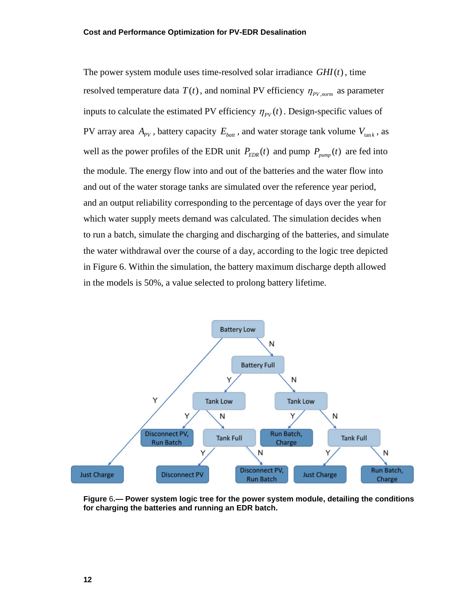The power system module uses time-resolved solar irradiance  $GHI(t)$ , time resolved temperature data  $T(t)$ , and nominal PV efficiency  $\eta_{PV, norm}$  as parameter inputs to calculate the estimated PV efficiency  $\eta_{PV}(t)$ . Design-specific values of PV array area  $A_{PV}$ , battery capacity  $E_{batt}$ , and water storage tank volume  $V_{tan k}$ , as well as the power profiles of the EDR unit  $P_{EDR}(t)$  and pump  $P_{pump}(t)$  are fed into the module. The energy flow into and out of the batteries and the water flow into and out of the water storage tanks are simulated over the reference year period, and an output reliability corresponding to the percentage of days over the year for which water supply meets demand was calculated. The simulation decides when to run a batch, simulate the charging and discharging of the batteries, and simulate the water withdrawal over the course of a day, according to the logic tree depicted in [Figure 6.](#page-23-0) Within the simulation, the battery maximum discharge depth allowed in the models is 50%, a value selected to prolong battery lifetime.



<span id="page-23-0"></span>**Figure** 6**.— Power system logic tree for the power system module, detailing the conditions for charging the batteries and running an EDR batch.**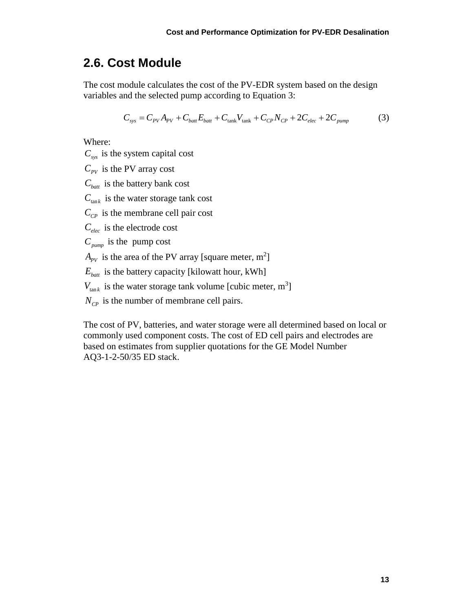### <span id="page-24-0"></span>**2.6. Cost Module**

The cost module calculates the cost of the PV-EDR system based on the design variables and the selected pump according to Equation 3:

$$
C_{\rm sys} = C_{\rm PV} A_{\rm PV} + C_{\rm bat} E_{\rm bat} + C_{\rm tank} V_{\rm tank} + C_{\rm CP} N_{\rm CP} + 2C_{\rm elec} + 2C_{\rm pump}
$$
(3)

Where:

 $C_{\text{sys}}$  is the system capital cost

 $C_{pV}$  is the PV array cost

 $C_{\text{batt}}$  is the battery bank cost

 $C_{\text{tan }k}$  is the water storage tank cost

 $C_{CP}$  is the membrane cell pair cost

*Celec* is the electrode cost

 $C_{pump}$  is the pump cost

 $A_{pV}$  is the area of the PV array [square meter, m<sup>2</sup>]

 $E_{\text{batt}}$  is the battery capacity [kilowatt hour, kWh]

 $V_{\text{tan }k}$  is the water storage tank volume [cubic meter, m<sup>3</sup>]

 $N_{CP}$  is the number of membrane cell pairs.

The cost of PV, batteries, and water storage were all determined based on local or commonly used component costs. The cost of ED cell pairs and electrodes are based on estimates from supplier quotations for the GE Model Number AQ3-1-2-50/35 ED stack.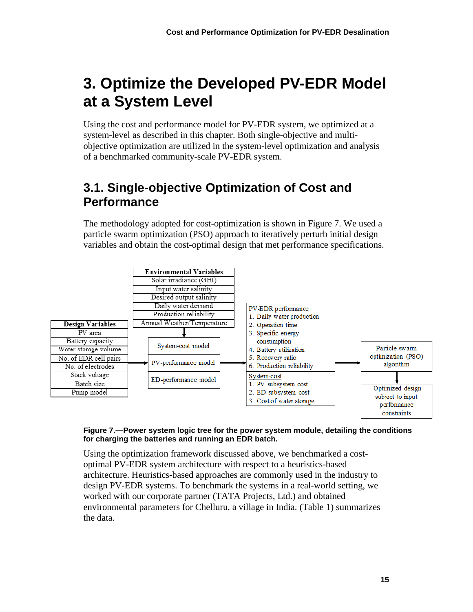# <span id="page-26-0"></span>**3. Optimize the Developed PV-EDR Model at a System Level**

Using the cost and performance model for PV-EDR system, we optimized at a system-level as described in this chapter. Both single-objective and multiobjective optimization are utilized in the system-level optimization and analysis of a benchmarked community-scale PV-EDR system.

### <span id="page-26-1"></span>**3.1. Single-objective Optimization of Cost and Performance**

The methodology adopted for cost-optimization is shown in [Figure 7.](#page-26-2) We used a particle swarm optimization (PSO) approach to iteratively perturb initial design variables and obtain the cost-optimal design that met performance specifications.



#### <span id="page-26-2"></span>**Figure 7.—Power system logic tree for the power system module, detailing the conditions for charging the batteries and running an EDR batch.**

Using the optimization framework discussed above, we benchmarked a costoptimal PV-EDR system architecture with respect to a heuristics-based architecture. Heuristics-based approaches are commonly used in the industry to design PV-EDR systems. To benchmark the systems in a real-world setting, we worked with our corporate partner (TATA Projects, Ltd.) and obtained environmental parameters for Chelluru, a village in India. [\(Table 1\)](#page-27-0) summarizes the data.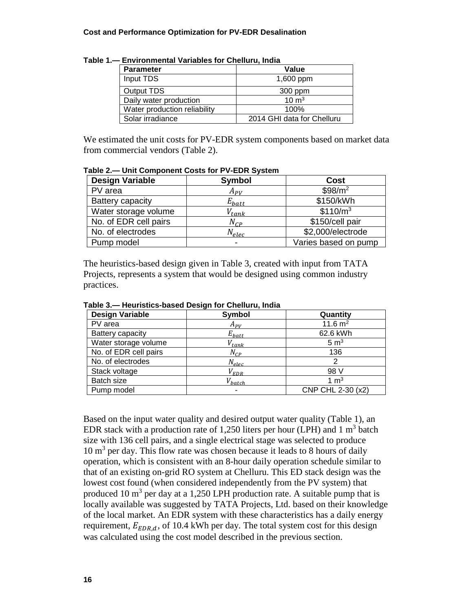#### **Cost and Performance Optimization for PV-EDR Desalination**

| Environmontar variables for onemara, india |                            |  |
|--------------------------------------------|----------------------------|--|
| <b>Parameter</b>                           | Value                      |  |
| Input TDS                                  | 1,600 ppm                  |  |
| Output TDS                                 | 300 ppm                    |  |
| Daily water production                     | $10 \text{ m}^3$           |  |
| Water production reliability               | 100%                       |  |
| Solar irradiance                           | 2014 GHI data for Chelluru |  |

<span id="page-27-0"></span>**Table 1.— Environmental Variables for Chelluru, India**

We estimated the unit costs for PV-EDR system components based on market data from commercial vendors [\(Table 2\)](#page-27-1).

| <b>Design Variable</b> | <b>Symbol</b> | <b>Cost</b>          |
|------------------------|---------------|----------------------|
| PV area                | $A_{PV}$      | $$98/m^2$            |
| Battery capacity       | $E_{batt}$    | \$150/kWh            |
| Water storage volume   | $V_{tank}$    | \$110/m <sup>3</sup> |
| No. of EDR cell pairs  | $N_{CP}$      | \$150/cell pair      |
| No. of electrodes      | $N_{elec}$    | \$2,000/electrode    |
| Pump model             | -             | Varies based on pump |

<span id="page-27-1"></span>**Table 2.— Unit Component Costs for PV-EDR System**

The heuristics-based design given in [Table 3,](#page-27-2) created with input from TATA Projects, represents a system that would be designed using common industry practices.

| <b>Design Variable</b> | Symbol      | Quantity          |
|------------------------|-------------|-------------------|
| PV area                | $A_{PV}$    | 11.6 $m2$         |
| Battery capacity       | $E_{batt}$  | 62.6 kWh          |
| Water storage volume   | $V_{tank}$  | 5 m <sup>3</sup>  |
| No. of EDR cell pairs  | $N_{CP}$    | 136               |
| No. of electrodes      | $N_{elec}$  | っ                 |
| Stack voltage          | $V_{EDR}$   | 98 V              |
| Batch size             | $V_{batch}$ | $1 \text{ m}^3$   |
| Pump model             | ۰           | CNP CHL 2-30 (x2) |

<span id="page-27-2"></span>**Table 3.— Heuristics-based Design for Chelluru, India**

Based on the input water quality and desired output water quality [\(Table 1\)](#page-27-0), an EDR stack with a production rate of 1,250 liters per hour (LPH) and 1  $m<sup>3</sup>$  batch size with 136 cell pairs, and a single electrical stage was selected to produce  $10 \text{ m}^3$  per day. This flow rate was chosen because it leads to 8 hours of daily operation, which is consistent with an 8-hour daily operation schedule similar to that of an existing on-grid RO system at Chelluru. This ED stack design was the lowest cost found (when considered independently from the PV system) that produced 10  $m<sup>3</sup>$  per day at a 1,250 LPH production rate. A suitable pump that is locally available was suggested by TATA Projects, Ltd. based on their knowledge of the local market. An EDR system with these characteristics has a daily energy requirement,  $E_{EDR,d}$ , of 10.4 kWh per day. The total system cost for this design was calculated using the cost model described in the previous section.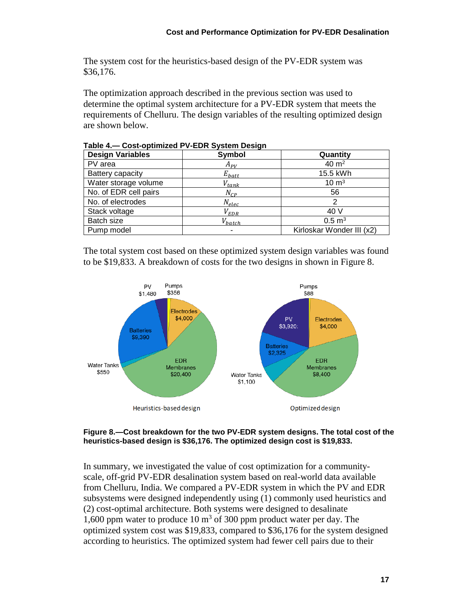The system cost for the heuristics-based design of the PV-EDR system was \$36,176.

The optimization approach described in the previous section was used to determine the optimal system architecture for a PV-EDR system that meets the requirements of Chelluru. The design variables of the resulting optimized design are shown below.

| <b>Design Variables</b> | <b>Symbol</b> | Quantity                  |
|-------------------------|---------------|---------------------------|
| PV area                 | $A_{PV}$      | 40 $m2$                   |
| Battery capacity        | $E_{batt}$    | 15.5 kWh                  |
| Water storage volume    | $V_{tank}$    | $10 \text{ m}^3$          |
| No. of EDR cell pairs   | $N_{CP}$      | 56                        |
| No. of electrodes       | $N_{elec}$    |                           |
| Stack voltage           | $V_{EDR}$     | 40 V                      |
| Batch size              | $V_{batch}$   | $0.5 \, \text{m}^3$       |
| Pump model              |               | Kirloskar Wonder III (x2) |

<span id="page-28-1"></span>**Table 4.— Cost-optimized PV-EDR System Design**

The total system cost based on these optimized system design variables was found to be \$19,833. A breakdown of costs for the two designs in shown in [Figure 8.](#page-28-0)



#### <span id="page-28-0"></span>**Figure 8.—Cost breakdown for the two PV-EDR system designs. The total cost of the heuristics-based design is \$36,176. The optimized design cost is \$19,833.**

In summary, we investigated the value of cost optimization for a communityscale, off-grid PV-EDR desalination system based on real-world data available from Chelluru, India. We compared a PV-EDR system in which the PV and EDR subsystems were designed independently using (1) commonly used heuristics and (2) cost-optimal architecture. Both systems were designed to desalinate 1,600 ppm water to produce 10  $\text{m}^3$  of 300 ppm product water per day. The optimized system cost was \$19,833, compared to \$36,176 for the system designed according to heuristics. The optimized system had fewer cell pairs due to their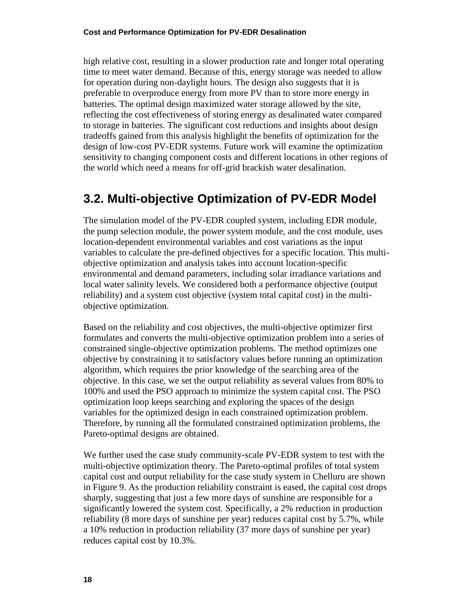high relative cost, resulting in a slower production rate and longer total operating time to meet water demand. Because of this, energy storage was needed to allow for operation during non-daylight hours. The design also suggests that it is preferable to overproduce energy from more PV than to store more energy in batteries. The optimal design maximized water storage allowed by the site, reflecting the cost effectiveness of storing energy as desalinated water compared to storage in batteries. The significant cost reductions and insights about design tradeoffs gained from this analysis highlight the benefits of optimization for the design of low-cost PV-EDR systems. Future work will examine the optimization sensitivity to changing component costs and different locations in other regions of the world which need a means for off-grid brackish water desalination.

### <span id="page-29-0"></span>**3.2. Multi-objective Optimization of PV-EDR Model**

The simulation model of the PV-EDR coupled system, including EDR module, the pump selection module, the power system module, and the cost module, uses location-dependent environmental variables and cost variations as the input variables to calculate the pre-defined objectives for a specific location. This multiobjective optimization and analysis takes into account location-specific environmental and demand parameters, including solar irradiance variations and local water salinity levels. We considered both a performance objective (output reliability) and a system cost objective (system total capital cost) in the multiobjective optimization.

Based on the reliability and cost objectives, the multi-objective optimizer first formulates and converts the multi-objective optimization problem into a series of constrained single-objective optimization problems. The method optimizes one objective by constraining it to satisfactory values before running an optimization algorithm, which requires the prior knowledge of the searching area of the objective. In this case, we set the output reliability as several values from 80% to 100% and used the PSO approach to minimize the system capital cost. The PSO optimization loop keeps searching and exploring the spaces of the design variables for the optimized design in each constrained optimization problem. Therefore, by running all the formulated constrained optimization problems, the Pareto-optimal designs are obtained.

We further used the case study community-scale PV-EDR system to test with the multi-objective optimization theory. The Pareto-optimal profiles of total system capital cost and output reliability for the case study system in Chelluru are shown in [Figure 9.](#page-30-1) As the production reliability constraint is eased, the capital cost drops sharply, suggesting that just a few more days of sunshine are responsible for a significantly lowered the system cost. Specifically, a 2% reduction in production reliability (8 more days of sunshine per year) reduces capital cost by 5.7%, while a 10% reduction in production reliability (37 more days of sunshine per year) reduces capital cost by 10.3%.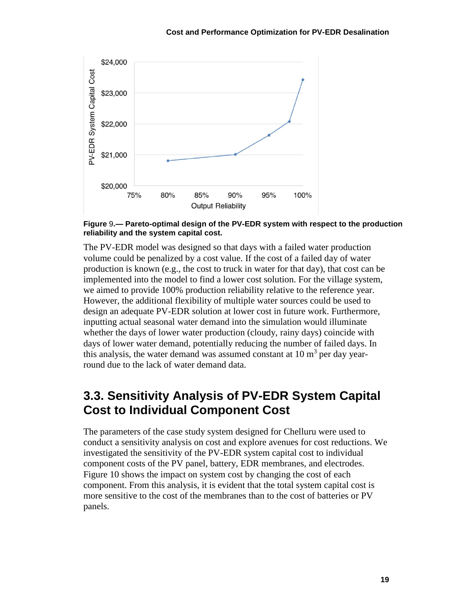

<span id="page-30-1"></span>**Figure** 9**.— Pareto-optimal design of the PV-EDR system with respect to the production reliability and the system capital cost.**

The PV-EDR model was designed so that days with a failed water production volume could be penalized by a cost value. If the cost of a failed day of water production is known (e.g., the cost to truck in water for that day), that cost can be implemented into the model to find a lower cost solution. For the village system, we aimed to provide 100% production reliability relative to the reference year. However, the additional flexibility of multiple water sources could be used to design an adequate PV-EDR solution at lower cost in future work. Furthermore, inputting actual seasonal water demand into the simulation would illuminate whether the days of lower water production (cloudy, rainy days) coincide with days of lower water demand, potentially reducing the number of failed days. In this analysis, the water demand was assumed constant at  $10 \text{ m}^3$  per day yearround due to the lack of water demand data.

### <span id="page-30-0"></span>**3.3. Sensitivity Analysis of PV-EDR System Capital Cost to Individual Component Cost**

The parameters of the case study system designed for Chelluru were used to conduct a sensitivity analysis on cost and explore avenues for cost reductions. We investigated the sensitivity of the PV-EDR system capital cost to individual component costs of the PV panel, battery, EDR membranes, and electrodes. [Figure 10](#page-31-0) shows the impact on system cost by changing the cost of each component. From this analysis, it is evident that the total system capital cost is more sensitive to the cost of the membranes than to the cost of batteries or PV panels.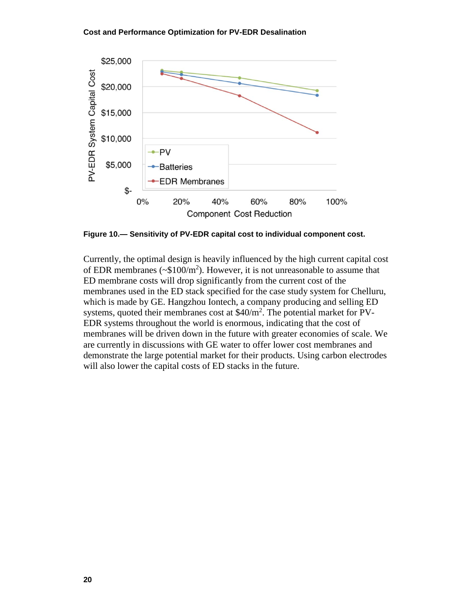#### **Cost and Performance Optimization for PV-EDR Desalination**



<span id="page-31-0"></span>**Figure 10.— Sensitivity of PV-EDR capital cost to individual component cost.**

Currently, the optimal design is heavily influenced by the high current capital cost of EDR membranes ( $\sim $100/m^2$ ). However, it is not unreasonable to assume that ED membrane costs will drop significantly from the current cost of the membranes used in the ED stack specified for the case study system for Chelluru, which is made by GE. Hangzhou Iontech, a company producing and selling ED systems, quoted their membranes cost at  $$40/m^2$ . The potential market for PV-EDR systems throughout the world is enormous, indicating that the cost of membranes will be driven down in the future with greater economies of scale. We are currently in discussions with GE water to offer lower cost membranes and demonstrate the large potential market for their products. Using carbon electrodes will also lower the capital costs of ED stacks in the future.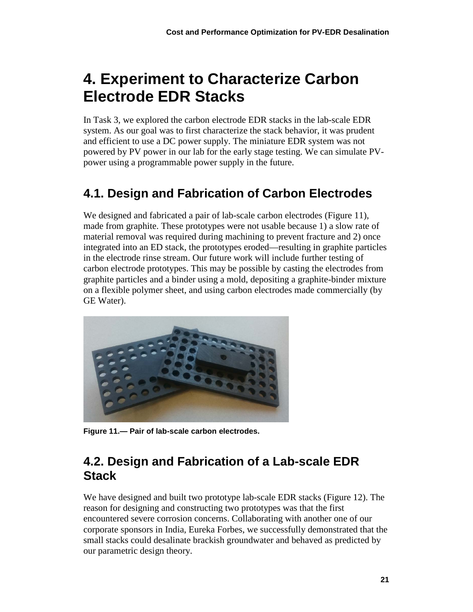# <span id="page-32-0"></span>**4. Experiment to Characterize Carbon Electrode EDR Stacks**

In Task 3, we explored the carbon electrode EDR stacks in the lab-scale EDR system. As our goal was to first characterize the stack behavior, it was prudent and efficient to use a DC power supply. The miniature EDR system was not powered by PV power in our lab for the early stage testing. We can simulate PVpower using a programmable power supply in the future.

# <span id="page-32-1"></span>**4.1. Design and Fabrication of Carbon Electrodes**

We designed and fabricated a pair of lab-scale carbon electrodes [\(Figure 11\)](#page-32-3), made from graphite. These prototypes were not usable because 1) a slow rate of material removal was required during machining to prevent fracture and 2) once integrated into an ED stack, the prototypes eroded—resulting in graphite particles in the electrode rinse stream. Our future work will include further testing of carbon electrode prototypes. This may be possible by casting the electrodes from graphite particles and a binder using a mold, depositing a graphite-binder mixture on a flexible polymer sheet, and using carbon electrodes made commercially (by GE Water).



**Figure 11.— Pair of lab-scale carbon electrodes.**

### <span id="page-32-3"></span><span id="page-32-2"></span>**4.2. Design and Fabrication of a Lab-scale EDR Stack**

We have designed and built two prototype lab-scale EDR stacks [\(Figure 12\)](#page-33-1). The reason for designing and constructing two prototypes was that the first encountered severe corrosion concerns. Collaborating with another one of our corporate sponsors in India, Eureka Forbes, we successfully demonstrated that the small stacks could desalinate brackish groundwater and behaved as predicted by our parametric design theory.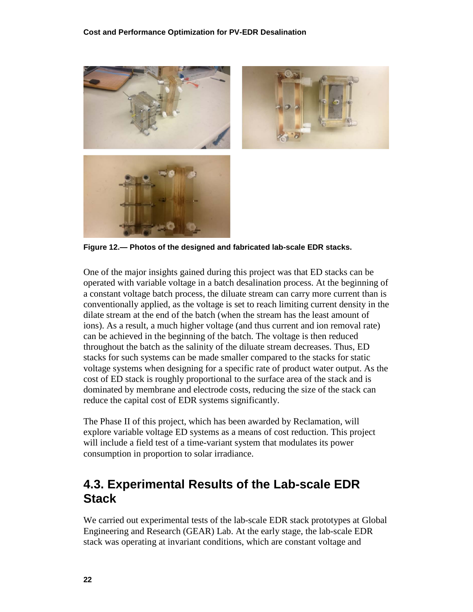

**Figure 12.— Photos of the designed and fabricated lab-scale EDR stacks.**

<span id="page-33-1"></span>One of the major insights gained during this project was that ED stacks can be operated with variable voltage in a batch desalination process. At the beginning of a constant voltage batch process, the diluate stream can carry more current than is conventionally applied, as the voltage is set to reach limiting current density in the dilate stream at the end of the batch (when the stream has the least amount of ions). As a result, a much higher voltage (and thus current and ion removal rate) can be achieved in the beginning of the batch. The voltage is then reduced throughout the batch as the salinity of the diluate stream decreases. Thus, ED stacks for such systems can be made smaller compared to the stacks for static voltage systems when designing for a specific rate of product water output. As the cost of ED stack is roughly proportional to the surface area of the stack and is dominated by membrane and electrode costs, reducing the size of the stack can reduce the capital cost of EDR systems significantly.

The Phase II of this project, which has been awarded by Reclamation, will explore variable voltage ED systems as a means of cost reduction. This project will include a field test of a time-variant system that modulates its power consumption in proportion to solar irradiance.

### <span id="page-33-0"></span>**4.3. Experimental Results of the Lab-scale EDR Stack**

We carried out experimental tests of the lab-scale EDR stack prototypes at Global Engineering and Research (GEAR) Lab. At the early stage, the lab-scale EDR stack was operating at invariant conditions, which are constant voltage and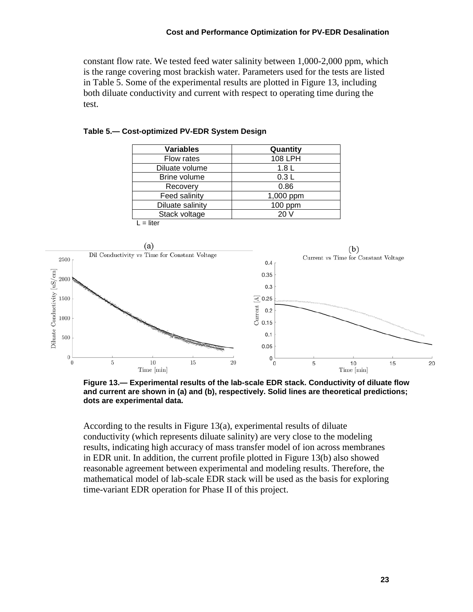constant flow rate. We tested feed water salinity between 1,000-2,000 ppm, which is the range covering most brackish water. Parameters used for the tests are listed in [Table 5.](#page-34-1) Some of the experimental results are plotted in [Figure 13,](#page-34-0) including both diluate conductivity and current with respect to operating time during the test.

| <b>Variables</b> | Quantity         |
|------------------|------------------|
| Flow rates       | 108 LPH          |
| Diluate volume   | 1.8 <sub>L</sub> |
| Brine volume     | 0.3L             |
| Recovery         | 0.86             |
| Feed salinity    | 1,000 ppm        |
| Diluate salinity | 100 ppm          |
| Stack voltage    | 20 V             |
| $L =$ liter      |                  |

<span id="page-34-1"></span>**Table 5.— Cost-optimized PV-EDR System Design**



<span id="page-34-0"></span>**Figure 13.— Experimental results of the lab-scale EDR stack. Conductivity of diluate flow and current are shown in (a) and (b), respectively. Solid lines are theoretical predictions; dots are experimental data.**

According to the results in [Figure 13\(](#page-34-0)a), experimental results of diluate conductivity (which represents diluate salinity) are very close to the modeling results, indicating high accuracy of mass transfer model of ion across membranes in EDR unit. In addition, the current profile plotted in [Figure 13\(](#page-34-0)b) also showed reasonable agreement between experimental and modeling results. Therefore, the mathematical model of lab-scale EDR stack will be used as the basis for exploring time-variant EDR operation for Phase II of this project.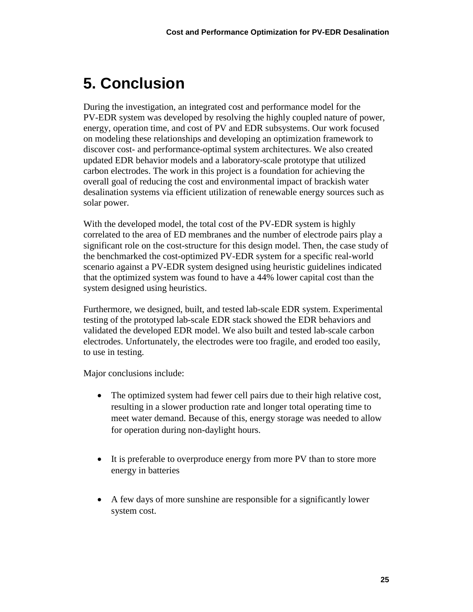# <span id="page-36-0"></span>**5. Conclusion**

During the investigation, an integrated cost and performance model for the PV-EDR system was developed by resolving the highly coupled nature of power, energy, operation time, and cost of PV and EDR subsystems. Our work focused on modeling these relationships and developing an optimization framework to discover cost- and performance-optimal system architectures. We also created updated EDR behavior models and a laboratory-scale prototype that utilized carbon electrodes. The work in this project is a foundation for achieving the overall goal of reducing the cost and environmental impact of brackish water desalination systems via efficient utilization of renewable energy sources such as solar power.

With the developed model, the total cost of the PV-EDR system is highly correlated to the area of ED membranes and the number of electrode pairs play a significant role on the cost-structure for this design model. Then, the case study of the benchmarked the cost-optimized PV-EDR system for a specific real-world scenario against a PV-EDR system designed using heuristic guidelines indicated that the optimized system was found to have a 44% lower capital cost than the system designed using heuristics.

Furthermore, we designed, built, and tested lab-scale EDR system. Experimental testing of the prototyped lab-scale EDR stack showed the EDR behaviors and validated the developed EDR model. We also built and tested lab-scale carbon electrodes. Unfortunately, the electrodes were too fragile, and eroded too easily, to use in testing.

Major conclusions include:

- The optimized system had fewer cell pairs due to their high relative cost, resulting in a slower production rate and longer total operating time to meet water demand. Because of this, energy storage was needed to allow for operation during non-daylight hours.
- It is preferable to overproduce energy from more PV than to store more energy in batteries
- A few days of more sunshine are responsible for a significantly lower system cost.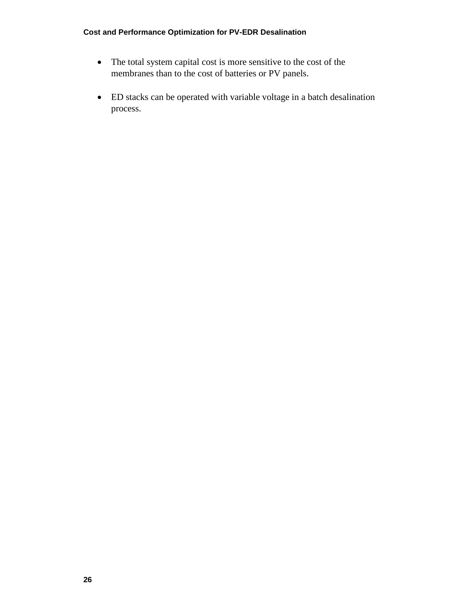#### **Cost and Performance Optimization for PV-EDR Desalination**

- The total system capital cost is more sensitive to the cost of the membranes than to the cost of batteries or PV panels.
- ED stacks can be operated with variable voltage in a batch desalination process.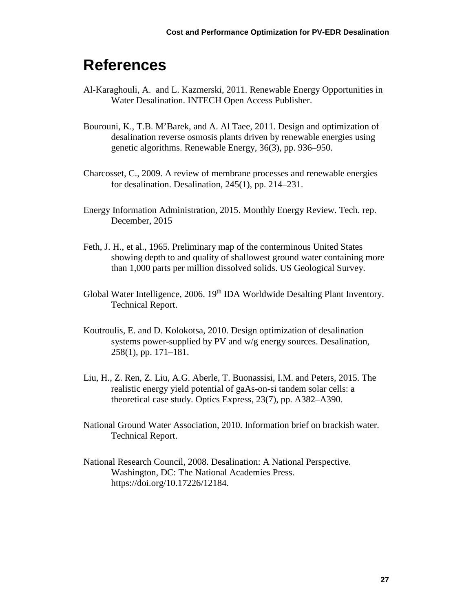# <span id="page-38-0"></span>**References**

- Al-Karaghouli, A. and L. Kazmerski, 2011. Renewable Energy Opportunities in Water Desalination. INTECH Open Access Publisher.
- Bourouni, K., T.B. M'Barek, and A. Al Taee, 2011. Design and optimization of desalination reverse osmosis plants driven by renewable energies using genetic algorithms. Renewable Energy, 36(3), pp. 936–950.
- Charcosset, C., 2009. A review of membrane processes and renewable energies for desalination. Desalination, 245(1), pp. 214–231.
- Energy Information Administration, 2015. Monthly Energy Review. Tech. rep. December, 2015
- Feth, J. H., et al., 1965. Preliminary map of the conterminous United States showing depth to and quality of shallowest ground water containing more than 1,000 parts per million dissolved solids. US Geological Survey.
- Global Water Intelligence, 2006. 19<sup>th</sup> IDA Worldwide Desalting Plant Inventory. Technical Report.
- Koutroulis, E. and D. Kolokotsa, 2010. Design optimization of desalination systems power-supplied by PV and w/g energy sources. Desalination, 258(1), pp. 171–181.
- Liu, H., Z. Ren, Z. Liu, A.G. Aberle, T. Buonassisi, I.M. and Peters, 2015. The realistic energy yield potential of gaAs-on-si tandem solar cells: a theoretical case study. Optics Express, 23(7), pp. A382–A390.
- National Ground Water Association, 2010. Information brief on brackish water. Technical Report.
- National Research Council, 2008. Desalination: A National Perspective. Washington, DC: The National Academies Press. https://doi.org/10.17226/12184.